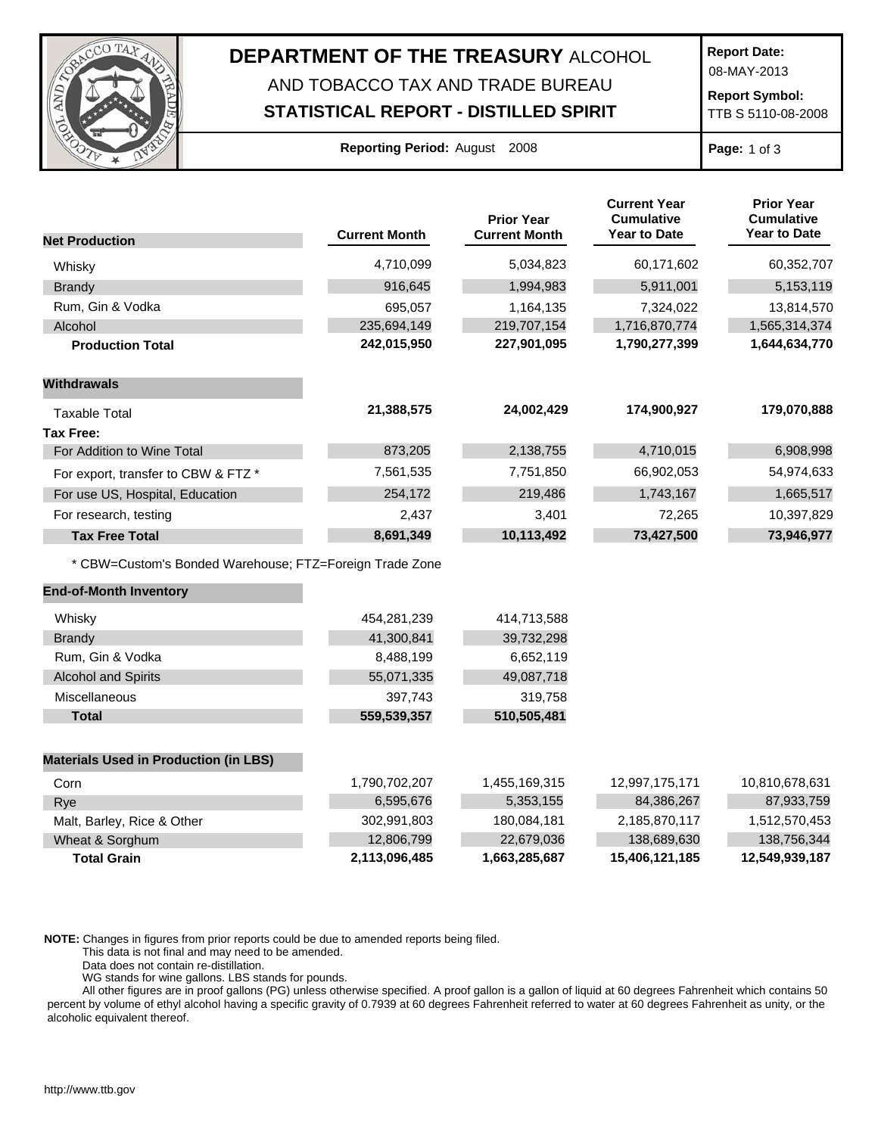

## **DEPARTMENT OF THE TREASURY** ALCOHOL AND TOBACCO TAX AND TRADE BUREAU

## **STATISTICAL REPORT - DISTILLED SPIRIT**

**Report Date:**

08-MAY-2013

**Report Symbol:** TTB S 5110-08-2008

| Reporting Period: August 2008 |  |  |  |
|-------------------------------|--|--|--|
|-------------------------------|--|--|--|

**Page:** 1 of 3

|                                                         |                      | <b>Prior Year</b>    | <b>Current Year</b><br><b>Cumulative</b> | <b>Prior Year</b><br><b>Cumulative</b> |
|---------------------------------------------------------|----------------------|----------------------|------------------------------------------|----------------------------------------|
| <b>Net Production</b>                                   | <b>Current Month</b> | <b>Current Month</b> | <b>Year to Date</b>                      | <b>Year to Date</b>                    |
| Whisky                                                  | 4,710,099            | 5,034,823            | 60,171,602                               | 60,352,707                             |
| <b>Brandy</b>                                           | 916,645              | 1,994,983            | 5,911,001                                | 5,153,119                              |
| Rum, Gin & Vodka                                        | 695,057              | 1,164,135            | 7,324,022                                | 13,814,570                             |
| Alcohol                                                 | 235,694,149          | 219,707,154          | 1,716,870,774                            | 1,565,314,374                          |
| <b>Production Total</b>                                 | 242,015,950          | 227,901,095          | 1,790,277,399                            | 1,644,634,770                          |
| <b>Withdrawals</b>                                      |                      |                      |                                          |                                        |
| <b>Taxable Total</b>                                    | 21,388,575           | 24,002,429           | 174,900,927                              | 179,070,888                            |
| <b>Tax Free:</b>                                        |                      |                      |                                          |                                        |
| For Addition to Wine Total                              | 873,205              | 2,138,755            | 4,710,015                                | 6,908,998                              |
| For export, transfer to CBW & FTZ *                     | 7,561,535            | 7,751,850            | 66,902,053                               | 54,974,633                             |
| For use US, Hospital, Education                         | 254,172              | 219,486              | 1,743,167                                | 1,665,517                              |
| For research, testing                                   | 2,437                | 3,401                | 72,265                                   | 10,397,829                             |
| <b>Tax Free Total</b>                                   | 8,691,349            | 10,113,492           | 73,427,500                               | 73,946,977                             |
| * CBW=Custom's Bonded Warehouse; FTZ=Foreign Trade Zone |                      |                      |                                          |                                        |
| <b>End-of-Month Inventory</b>                           |                      |                      |                                          |                                        |
| Whisky                                                  | 454,281,239          | 414,713,588          |                                          |                                        |
| Brandy                                                  | 41,300,841           | 39,732,298           |                                          |                                        |
| Rum, Gin & Vodka                                        | 8,488,199            | 6,652,119            |                                          |                                        |
| <b>Alcohol and Spirits</b>                              | 55,071,335           | 49,087,718           |                                          |                                        |
| Miscellaneous                                           | 397,743              | 319,758              |                                          |                                        |
| <b>Total</b>                                            | 559,539,357          | 510,505,481          |                                          |                                        |
| <b>Materials Used in Production (in LBS)</b>            |                      |                      |                                          |                                        |
| Corn                                                    | 1,790,702,207        | 1,455,169,315        | 12,997,175,171                           | 10,810,678,631                         |
| Rye                                                     | 6,595,676            | 5,353,155            | 84,386,267                               | 87,933,759                             |
| Malt, Barley, Rice & Other                              | 302,991,803          | 180,084,181          | 2,185,870,117                            | 1,512,570,453                          |
| Wheat & Sorghum                                         | 12,806,799           | 22,679,036           | 138,689,630                              | 138,756,344                            |
| <b>Total Grain</b>                                      | 2,113,096,485        | 1,663,285,687        | 15,406,121,185                           | 12,549,939,187                         |

**NOTE:** Changes in figures from prior reports could be due to amended reports being filed.

This data is not final and may need to be amended.

Data does not contain re-distillation.

WG stands for wine gallons. LBS stands for pounds.

All other figures are in proof gallons (PG) unless otherwise specified. A proof gallon is a gallon of liquid at 60 degrees Fahrenheit which contains 50 percent by volume of ethyl alcohol having a specific gravity of 0.7939 at 60 degrees Fahrenheit referred to water at 60 degrees Fahrenheit as unity, or the alcoholic equivalent thereof.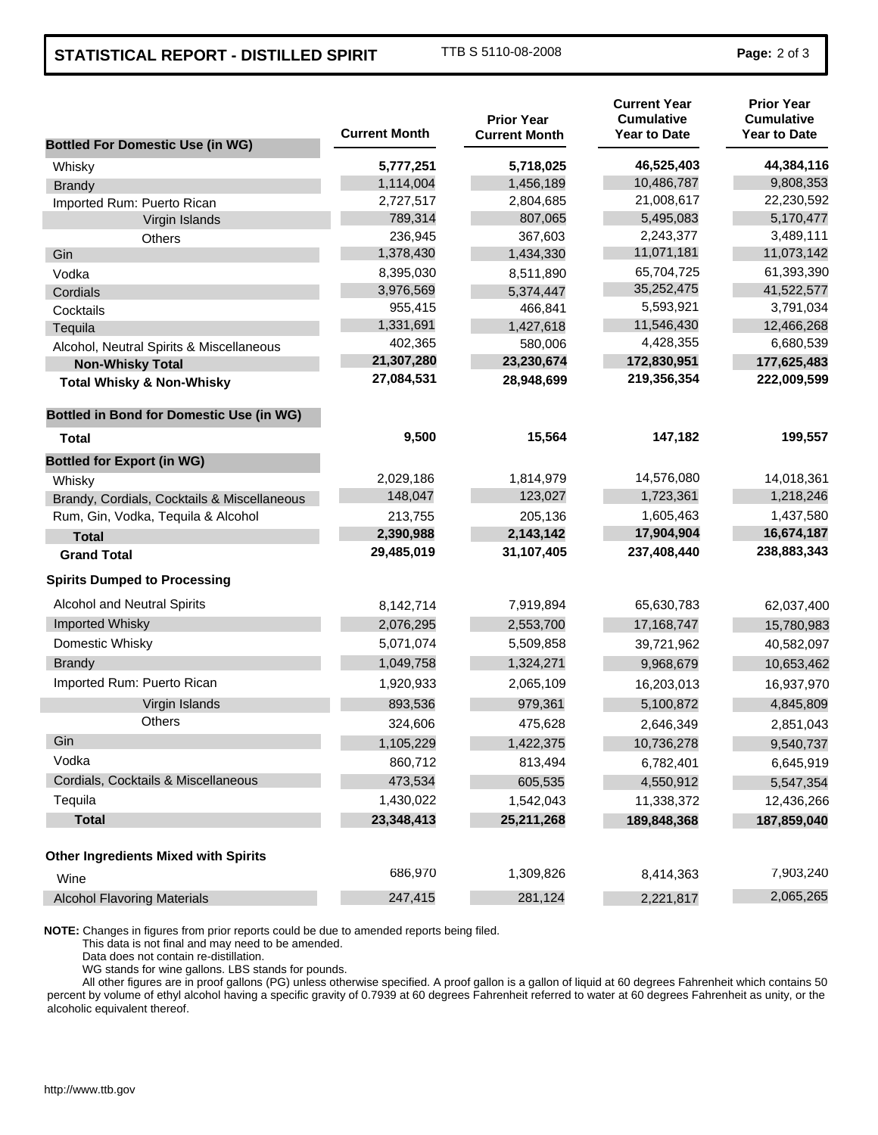## **STATISTICAL REPORT - DISTILLED SPIRIT** TTB S 5110-08-2008 **Page: 2 of 3**

| <b>Bottled For Domestic Use (in WG)</b>         | <b>Current Month</b> | <b>Prior Year</b><br><b>Current Month</b> | <b>Current Year</b><br><b>Cumulative</b><br><b>Year to Date</b> | <b>Prior Year</b><br><b>Cumulative</b><br><b>Year to Date</b> |
|-------------------------------------------------|----------------------|-------------------------------------------|-----------------------------------------------------------------|---------------------------------------------------------------|
| Whisky                                          | 5,777,251            | 5,718,025                                 | 46,525,403                                                      | 44,384,116                                                    |
| <b>Brandy</b>                                   | 1,114,004            | 1,456,189                                 | 10,486,787                                                      | 9,808,353                                                     |
| Imported Rum: Puerto Rican                      | 2,727,517            | 2,804,685                                 | 21,008,617                                                      | 22,230,592                                                    |
| Virgin Islands                                  | 789,314              | 807,065                                   | 5,495,083                                                       | 5,170,477                                                     |
| Others                                          | 236,945              | 367,603                                   | 2,243,377                                                       | 3,489,111                                                     |
| Gin                                             | 1,378,430            | 1,434,330                                 | 11,071,181                                                      | 11,073,142                                                    |
| Vodka                                           | 8,395,030            | 8,511,890                                 | 65,704,725                                                      | 61,393,390                                                    |
| Cordials                                        | 3,976,569            | 5,374,447                                 | 35,252,475                                                      | 41,522,577                                                    |
| Cocktails                                       | 955,415              | 466,841                                   | 5,593,921                                                       | 3,791,034                                                     |
| Tequila                                         | 1,331,691            | 1,427,618                                 | 11,546,430                                                      | 12,466,268                                                    |
| Alcohol, Neutral Spirits & Miscellaneous        | 402,365              | 580,006                                   | 4,428,355                                                       | 6,680,539                                                     |
| <b>Non-Whisky Total</b>                         | 21,307,280           | 23,230,674                                | 172,830,951                                                     | 177,625,483                                                   |
| <b>Total Whisky &amp; Non-Whisky</b>            | 27,084,531           | 28,948,699                                | 219,356,354                                                     | 222,009,599                                                   |
| <b>Bottled in Bond for Domestic Use (in WG)</b> |                      |                                           |                                                                 |                                                               |
| Total                                           | 9,500                | 15,564                                    | 147,182                                                         | 199,557                                                       |
| <b>Bottled for Export (in WG)</b>               |                      |                                           |                                                                 |                                                               |
| Whisky                                          | 2,029,186            | 1,814,979                                 | 14,576,080                                                      | 14,018,361                                                    |
| Brandy, Cordials, Cocktails & Miscellaneous     | 148,047              | 123,027                                   | 1,723,361                                                       | 1,218,246                                                     |
| Rum, Gin, Vodka, Tequila & Alcohol              | 213,755              | 205,136                                   | 1,605,463                                                       | 1,437,580                                                     |
| <b>Total</b>                                    | 2,390,988            | 2,143,142                                 | 17,904,904                                                      | 16,674,187                                                    |
| <b>Grand Total</b>                              | 29,485,019           | 31,107,405                                | 237,408,440                                                     | 238,883,343                                                   |
| <b>Spirits Dumped to Processing</b>             |                      |                                           |                                                                 |                                                               |
| Alcohol and Neutral Spirits                     | 8,142,714            | 7,919,894                                 | 65,630,783                                                      | 62,037,400                                                    |
| Imported Whisky                                 | 2,076,295            | 2,553,700                                 | 17,168,747                                                      | 15,780,983                                                    |
| Domestic Whisky                                 | 5,071,074            | 5,509,858                                 | 39,721,962                                                      | 40,582,097                                                    |
| <b>Brandy</b>                                   | 1,049,758            | 1,324,271                                 | 9,968,679                                                       | 10,653,462                                                    |
| Imported Rum: Puerto Rican                      | 1,920,933            | 2,065,109                                 | 16,203,013                                                      | 16,937,970                                                    |
| Virgin Islands                                  | 893,536              | 979,361                                   | 5,100,872                                                       | 4,845,809                                                     |
| Others                                          | 324,606              | 475,628                                   | 2,646,349                                                       | 2,851,043                                                     |
| Gin                                             | 1,105,229            | 1,422,375                                 | 10,736,278                                                      | 9,540,737                                                     |
| Vodka                                           | 860,712              | 813,494                                   | 6,782,401                                                       | 6,645,919                                                     |
| Cordials, Cocktails & Miscellaneous             | 473,534              | 605,535                                   | 4,550,912                                                       | 5,547,354                                                     |
| Tequila                                         | 1,430,022            | 1,542,043                                 | 11,338,372                                                      | 12,436,266                                                    |
| <b>Total</b>                                    | 23,348,413           | 25,211,268                                | 189,848,368                                                     | 187,859,040                                                   |
| <b>Other Ingredients Mixed with Spirits</b>     |                      |                                           |                                                                 |                                                               |
| Wine                                            | 686,970              | 1,309,826                                 | 8,414,363                                                       | 7,903,240                                                     |
| <b>Alcohol Flavoring Materials</b>              | 247,415              | 281,124                                   | 2,221,817                                                       | 2,065,265                                                     |

**NOTE:** Changes in figures from prior reports could be due to amended reports being filed.

This data is not final and may need to be amended.

Data does not contain re-distillation.

WG stands for wine gallons. LBS stands for pounds.

All other figures are in proof gallons (PG) unless otherwise specified. A proof gallon is a gallon of liquid at 60 degrees Fahrenheit which contains 50 percent by volume of ethyl alcohol having a specific gravity of 0.7939 at 60 degrees Fahrenheit referred to water at 60 degrees Fahrenheit as unity, or the alcoholic equivalent thereof.